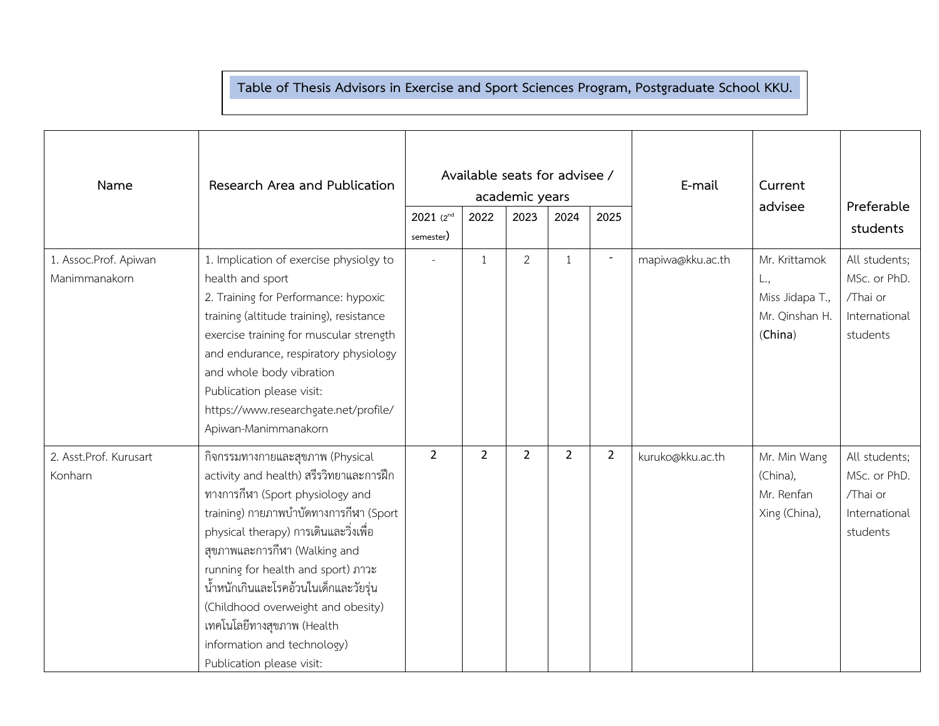## **Table of Thesis Advisors in Exercise and Sport Sciences Program, Postgraduate School KKU. .**

| Name                                   | Research Area and Publication                                                                                                                                                                                                                                                                                                                                                                                                                      | $2021$ ( $2^{nd}$ | Available seats for advisee /<br>2022 | academic years<br>2023 | 2024           | 2025           | E-mail           | Current<br>advisee                                                   | Preferable<br>students                                                 |
|----------------------------------------|----------------------------------------------------------------------------------------------------------------------------------------------------------------------------------------------------------------------------------------------------------------------------------------------------------------------------------------------------------------------------------------------------------------------------------------------------|-------------------|---------------------------------------|------------------------|----------------|----------------|------------------|----------------------------------------------------------------------|------------------------------------------------------------------------|
|                                        |                                                                                                                                                                                                                                                                                                                                                                                                                                                    | semester)         |                                       |                        |                |                |                  |                                                                      |                                                                        |
| 1. Assoc.Prof. Apiwan<br>Manimmanakorn | 1. Implication of exercise physiolgy to<br>health and sport<br>2. Training for Performance: hypoxic<br>training (altitude training), resistance<br>exercise training for muscular strength<br>and endurance, respiratory physiology<br>and whole body vibration<br>Publication please visit:<br>https://www.researchgate.net/profile/<br>Apiwan-Manimmanakorn                                                                                      |                   | 1                                     | $\overline{2}$         | $\mathbf{1}$   | $\overline{a}$ | mapiwa@kku.ac.th | Mr. Krittamok<br>L.,<br>Miss Jidapa T.,<br>Mr. Qinshan H.<br>(China) | All students;<br>MSc. or PhD.<br>/Thai or<br>International<br>students |
| 2. Asst.Prof. Kurusart<br>Konharn      | กิจกรรมทางกายและสุขภาพ (Physical<br>activity and health) สรีรวิทยาและการฝึก<br>ทางการกีฬา (Sport physiology and<br>training) กายภาพบำบัดทางการกีฬา (Sport<br>physical therapy) การเดินและวิ่งเพื่อ<br>สุขภาพและการกีฬา (Walking and<br>running for health and sport) ภาวะ<br>น้ำหนักเกินและโรคอ้วนในเด็กและวัยรุ่น<br>(Childhood overweight and obesity)<br>เทคโนโลยีทางสุขภาพ (Health<br>information and technology)<br>Publication please visit: | $\overline{2}$    | $\overline{2}$                        | $\overline{2}$         | $\overline{2}$ | $\overline{2}$ | kuruko@kku.ac.th | Mr. Min Wang<br>(China),<br>Mr. Renfan<br>Xing (China),              | All students;<br>MSc. or PhD.<br>/Thai or<br>International<br>students |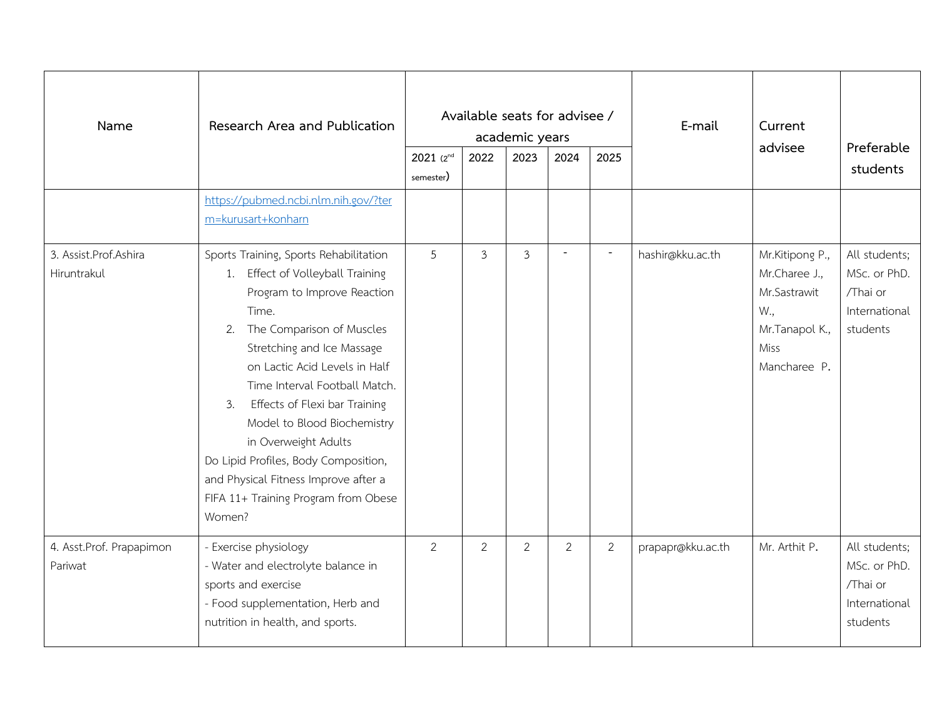| Name                                 | Research Area and Publication                                                                                                                                                                                                                                                                                                                                                                                                                                                      | $2021(2^{nd}$ | Available seats for advisee /<br>2022 | academic years<br>2023 | 2024 | 2025                     | E-mail<br>Current<br>advisee |                                                                                                   | Preferable<br>students                                                 |
|--------------------------------------|------------------------------------------------------------------------------------------------------------------------------------------------------------------------------------------------------------------------------------------------------------------------------------------------------------------------------------------------------------------------------------------------------------------------------------------------------------------------------------|---------------|---------------------------------------|------------------------|------|--------------------------|------------------------------|---------------------------------------------------------------------------------------------------|------------------------------------------------------------------------|
|                                      | https://pubmed.ncbi.nlm.nih.gov/?ter<br>m=kurusart+konharn                                                                                                                                                                                                                                                                                                                                                                                                                         | semester)     |                                       |                        |      |                          |                              |                                                                                                   |                                                                        |
| 3. Assist.Prof.Ashira<br>Hiruntrakul | Sports Training, Sports Rehabilitation<br>1. Effect of Volleyball Training<br>Program to Improve Reaction<br>Time.<br>2. The Comparison of Muscles<br>Stretching and Ice Massage<br>on Lactic Acid Levels in Half<br>Time Interval Football Match.<br>Effects of Flexi bar Training<br>3.<br>Model to Blood Biochemistry<br>in Overweight Adults<br>Do Lipid Profiles, Body Composition,<br>and Physical Fitness Improve after a<br>FIFA 11+ Training Program from Obese<br>Women? | 5             | 3                                     | $\overline{3}$         |      | $\overline{\phantom{a}}$ | hashir@kku.ac.th             | Mr.Kitipong P.,<br>Mr.Charee J.,<br>Mr.Sastrawit<br>W.,<br>Mr.Tanapol K.,<br>Miss<br>Mancharee P. | All students;<br>MSc. or PhD.<br>/Thai or<br>International<br>students |
| 4. Asst.Prof. Prapapimon<br>Pariwat  | - Exercise physiology<br>- Water and electrolyte balance in<br>sports and exercise<br>- Food supplementation, Herb and<br>nutrition in health, and sports.                                                                                                                                                                                                                                                                                                                         | 2             | 2                                     | 2                      | 2    | 2                        | prapapr@kku.ac.th            | Mr. Arthit P.                                                                                     | All students;<br>MSc. or PhD.<br>/Thai or<br>International<br>students |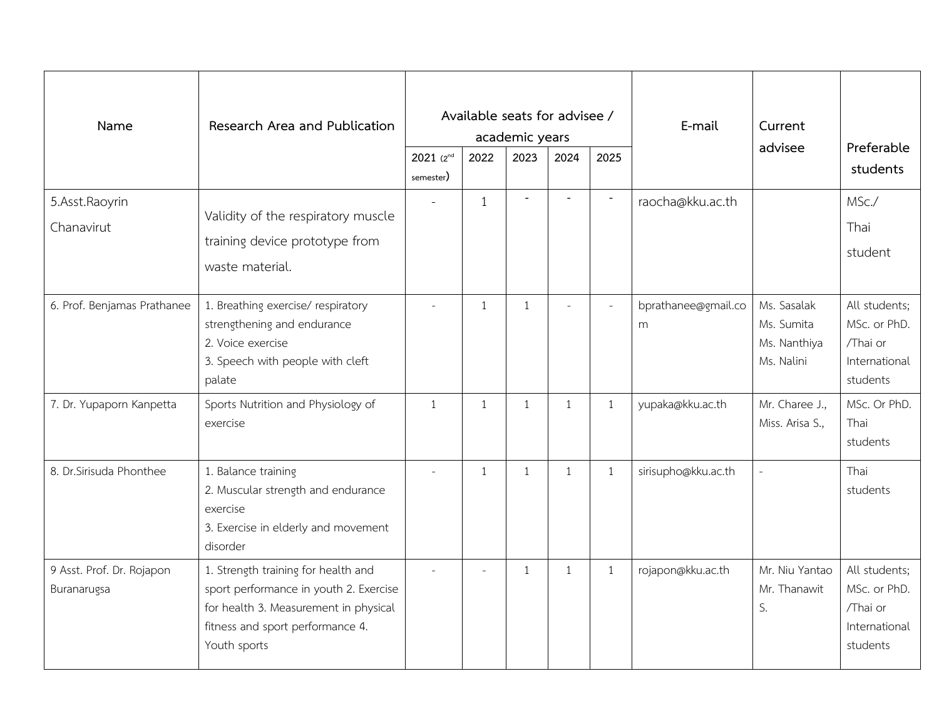| Name                                     | Research Area and Publication                                                                                                                                              | $2021(2^{nd}$<br>semester) | Available seats for advisee /<br>2022 | academic years<br>2023 | 2024           | 2025                     | E-mail                   | Current<br>advisee                                      | Preferable<br>students                                                 |
|------------------------------------------|----------------------------------------------------------------------------------------------------------------------------------------------------------------------------|----------------------------|---------------------------------------|------------------------|----------------|--------------------------|--------------------------|---------------------------------------------------------|------------------------------------------------------------------------|
| 5.Asst.Raoyrin<br>Chanavirut             | Validity of the respiratory muscle<br>training device prototype from<br>waste material.                                                                                    |                            | $\mathbf{1}$                          | $\overline{a}$         |                | $\overline{\phantom{a}}$ | raocha@kku.ac.th         |                                                         | MSc./<br>Thai<br>student                                               |
| 6. Prof. Benjamas Prathanee              | 1. Breathing exercise/ respiratory<br>strengthening and endurance<br>2. Voice exercise<br>3. Speech with people with cleft<br>palate                                       | $\sim$                     | $\mathbf{1}$                          | $\mathbf{1}$           |                | $\sim$                   | bprathanee@gmail.co<br>m | Ms. Sasalak<br>Ms. Sumita<br>Ms. Nanthiya<br>Ms. Nalini | All students;<br>MSc. or PhD.<br>/Thai or<br>International<br>students |
| 7. Dr. Yupaporn Kanpetta                 | Sports Nutrition and Physiology of<br>exercise                                                                                                                             | 1                          | $\mathbf{1}$                          | 1                      | 1              | $\mathbf{1}$             | yupaka@kku.ac.th         | Mr. Charee J.,<br>Miss. Arisa S.,                       | MSc. Or PhD.<br>Thai<br>students                                       |
| 8. Dr. Sirisuda Phonthee                 | 1. Balance training<br>2. Muscular strength and endurance<br>exercise<br>3. Exercise in elderly and movement<br>disorder                                                   |                            | $\mathbf{1}$                          | $\mathbf{1}$           | $\overline{1}$ | $\mathbf{1}$             | sirisupho@kku.ac.th      |                                                         | Thai<br>students                                                       |
| 9 Asst. Prof. Dr. Rojapon<br>Buranarugsa | 1. Strength training for health and<br>sport performance in youth 2. Exercise<br>for health 3. Measurement in physical<br>fitness and sport performance 4.<br>Youth sports |                            | $\sim$                                | 1                      | 1              | $\mathbf{1}$             | rojapon@kku.ac.th        | Mr. Niu Yantao<br>Mr. Thanawit<br>S.                    | All students;<br>MSc. or PhD.<br>/Thai or<br>International<br>students |